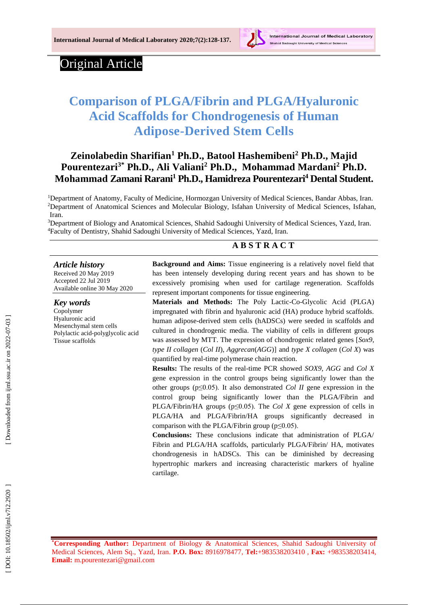

# Original Article

# **Comparison of PLGA/Fibrin and PLGA/Hyaluronic Acid Scaffolds for Chondrogenesis of Human Adipose -Derived Stem Cells**

# **Zeinolabedin Sharifian <sup>1</sup> Ph.D., Batool Hashemibeni <sup>2</sup> Ph.D., Majid Pourentezari3\* Ph.D., Ali Valiani <sup>2</sup> Ph.D., Mohammad Mardani <sup>2</sup> Ph.D. Mohammad Zamani Rarani <sup>1</sup> Ph.D., Hamidreza Pourentezari <sup>4</sup> Dental Student .**

<sup>1</sup>Department of Anatomy, Faculty of Medicine, Hormozgan University of Medical Sciences, Bandar Abbas, Iran. <sup>2</sup>Department of Anatomical Sciences and Molecular Biology, Isfahan University of Medical Sciences, Isfahan, Iran.

<sup>3</sup>Department of Biology and Anatomical Sciences, Shahid Sadoughi University of Medical Sciences, Yazd, Iran. <sup>4</sup>Faculty of Dentistry, Shahid Sadoughi University of Medical Sciences, Yazd, Iran.

### **A B S T R A C T**

#### *Article history*

Received 2 0 May 201 9 Accepted 2 2 Jul 201 9 Available online 30 M ay 2020

#### *Key words*

Copolymer Hyaluronic acid Mesenchymal stem cells Polylactic acid -polyglycolic acid Tissue scaffolds

**Background and Aims:** Tissue engineering is a relatively novel field that has been intensely developing during recent years and has shown to be excessively promising when used for cartilage regeneration. Scaffolds represent important components for tissue engineering.

**Materials and Methods:** The Poly Lactic -Co -Glycolic Acid (PLGA) impregnated with fibrin and hyaluronic acid (HA) produce hybrid scaffolds. human adipose -derived stem cells (hADSCs) were seeded in scaffolds and cultured in chondrogenic media. The viability of cells in different groups was assessed by MTT. The expression of chondrogenic related genes [*Sox9*, *type II collagen*  (*Col II*), *Aggrecan* (*AGG*)] and *type X collagen* (*Col X*) was quantified by real -time polymerase chain reaction.

**Results:** The results of the real -time PCR showed *SOX9*, *AGG* and *Col X* gene expression in the control groups being significantly lower than the other groups  $(p \leq 0.05)$ . It also demonstrated *Col II* gene expression in the control group being significantly lower than the PLGA/Fibrin and PLGA/Fibrin/HA groups ( $p \le 0.05$ ). The *Col X* gene expression of cells in PLGA/HA and PLGA/Fibrin/HA groups significantly decreased in comparison with the PLGA/Fibrin group (p≤0.05).

**Conclusion s :** These conclusions indicate that administration of PLGA/ Fibrin and PLGA/HA scaffolds, particularly PLGA/Fibrin/ HA, motivates chondrogenesis in hADSCs. This can be diminished by decreasing hypertrophic markers and increasing characteristic markers of hyaline cartilage.

**\*Corresponding Author:** Department of Biology & Anatomical Sciences, Shahid Sadoughi University of Medical Sciences, Alem Sq., Yazd, Iran . **P.O. Box:** 8916978477 , **Tel:**[+983538203410](tel:+983538203410) , **Fax:** +983538203414, **Email:** [m.pourentezari@gmail.com](mailto:m.pourentezari@gmail.com)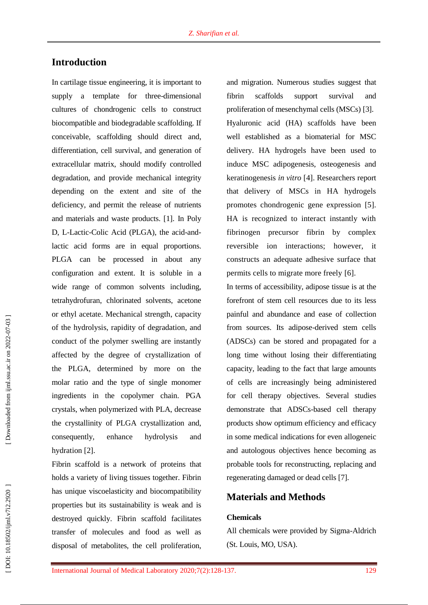# **Introduction**

In cartilage tissue engineering, it is important to supply a template for three -dimensional cultures of chondrogenic cells to construct biocompatible and biodegradable scaffolding. If conceivable, scaffolding should direct and, differentiation, cell survival, and generation of extracellular matrix, should modify controlled degradation, and provide mechanical integrity depending on the extent and site of the deficiency, and permit the release of nutrients and materials and waste products. [ 1 ] . In Poly D, L-Lactic-Colic Acid (PLGA), the acid-andlactic acid forms are in equal proportions. PLGA can be processed in about any configuration and extent. It is soluble in a wide range of common solvents including, tetrahydrofuran, chlorinated solvents, acetone or ethyl acetate. Mechanical strength , capacity of the hydrolysis, rapidity of degradation, and conduct of the polymer swelling are instantly affected by the degree of crystallization of the PLGA, determined by more on the molar ratio and the type of single monomer ingredients in the copolymer chain. PGA crystals, when polymerized with PLA, decrease the crystallinity of PLGA crystallization and, consequently, enhance hydrolysis and hydration [2].

Fibrin scaffold is a network of proteins that holds a variety of living tissues together. Fibrin has unique viscoelasticity and biocompatibility properties but its sustainability is weak and is destroyed quickly. Fibrin scaffold facilitates transfer of molecules and food as well as disposal of metabolites, the cell proliferation,

and migration. Numerous studies suggest that fibrin scaffolds support survival and proliferation of mesenchymal cells (MSCs) [3]. Hyaluronic acid (HA) scaffolds have been well established as a biomaterial for MSC delivery. HA hydrogels have been used to induce MSC adipogenesis, osteogenesis and keratinogenesis *in vitro* [ 4 ]. Researchers report that delivery of MSCs in HA hydrogels promotes chondrogenic gene expression [ 5 ]. HA is recognized to interact instantly with fibrinogen precursor fibrin by complex reversible ion interactions; however, it constructs an adequate adhesive surface that permits cells to migrate more freely [ 6 ].

In terms of accessibility, adipose tissue is at the forefront of stem cell resources due to its less painful and abundance and ease of collection from sources. Its adipose -derived stem cells (ADSCs) can be stored and propagated for a long time without losing their differentiating capacity, leading to the fact that large amounts of cells are increasingly being administered for cell therapy objectives. Several studies demonstrate that ADSCs -based cell therapy products show optimum efficiency and efficacy in some medical indications for even allogeneic and autologous objectives hence becoming as probable tools for reconstructing, replacing and regenerating damaged or dead cells [ 7 ] .

### **Materials and Methods**

#### **Chemicals**

All chemicals were provided by Sigma -Aldrich (St. Louis, MO, USA).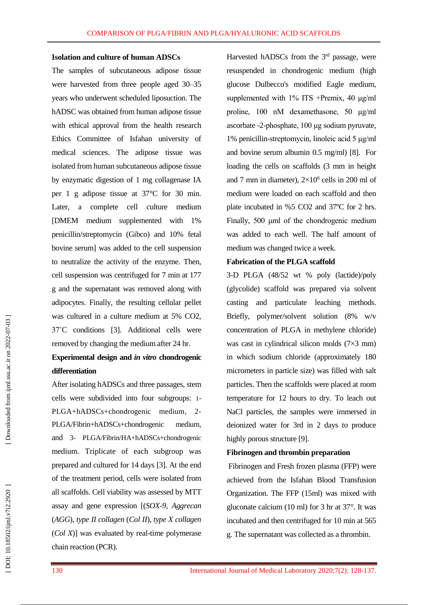#### **Isolation and culture of human ADSCs**

The samples of subcutaneous adipose tissue were harvested from three people aged 30 –35 years who underwent scheduled liposuction. The hADSC was obtained from human adipose tissue with ethical approval from the health research Ethics Committee of Isfahan university of medical sciences. The adipose tissue was isolated from human subcutaneous adipose tissue by enzymatic digestion of 1 mg collagenase IA per 1 g adipose tissue at 37°C for 30 min. Later, a complete cell culture medium [DMEM medium supplemented with 1% penicillin/streptomycin (Gibco) and 10% fetal bovine serum] was added to the cell suspension to neutralize the activity of the enzyme. Then, cell suspension was centrifuged for 7 min at 177 g and the supernatant was removed along with adipocytes. Finally, the resulting cellular pellet was cultured in a culture medium at 5% CO2, 37˚C conditions [ 3 ]. Additional cells were removed by changing the medium after 24 hr.

# **Experimental design and** *in vitro* **chondrogenic differentiation**

After isolating hADSCs and three passages, stem cells were subdivided into four subgroups: 1 - PLGA+hADSCs+chondrogenic medium, 2-PLGA/Fibrin+hADSCs+chondrogenic medium, and 3 - PLGA/Fibrin/HA+hADSCs+chondrogenic medium. Triplicate of each subgroup was prepared and cultured for 14 days [ 3 ]. At the end of the treatment period, cells were isolated from all scaffolds. Cell viability was assessed by MTT assay and gene expression [(*SOX-9*, *Aggrecan* (*AGG*), *type II collagen* (*Col II*), *type X collagen* (*Col X*)] was evaluated by real-time polymerase chain reaction (PC R ).

Harvested hADSCs from the  $3<sup>rd</sup>$  passage, were resuspended in chondrogenic medium (high glucose Dulbecco's modified Eagle medium, supplemented with 1% ITS +Premix, 40 μg/ml proline, 100 nM dexamethasone, 50 μg/ml ascorbate - 2 -phosphate, 100 μg sodium pyruvate, 1% penicillin -streptomycin, linoleic acid 5 μg/ml and bovine serum albumin 0.5 mg/ml) [ 8 ]. For loading the cells on scaffolds (3 mm in height and 7 mm in diameter),  $2\times10^6$  cells in 200 ml of medium were loaded on each scaffold and then plate incubated in %5 CO2 and 37ºC for 2 hrs. Finally, 500 μml of the chondrogenic medium was added to each well. The half amount of medium was changed twice a week.

#### **Fabrication of the PLGA scaffold**

3-D PLGA (48/52 wt % poly (lactide)/poly (glycolide) scaffold was prepared via solvent casting and particulate leaching methods. Briefly, polymer/solvent solution (8% w/v concentration of PLGA in methylene chloride) was cast in cylindrical silicon molds (7×3 mm) in which sodium chloride (approximately 180 micrometers in particle size) was filled with salt particles. Then the scaffolds were placed at room temperature for 12 hours to dry. To leach out NaCl particles, the samples were immersed in deionized water for 3rd in 2 days to produce highly porous structure [9].

#### **Fibrinogen and thrombin preparation**

Fibrinogen and Fresh frozen plasma (FFP) were achieved from the Isfahan Blood Transfusion Organization. The FFP (15ml) was mixed with gluconate calcium (10 ml) for 3 hr at 37°. It was incubated and then centrifuged for 10 min at 565 g. The supernatant was collected as a thrombin.

DOI: 10.18502/ijml.v7i2.2920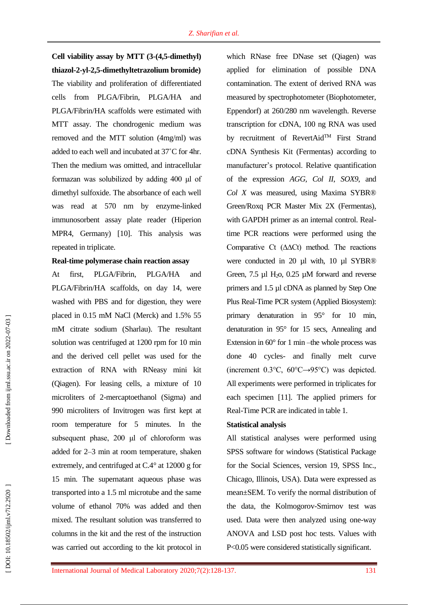**Cell viability assay by MTT (3 -(4,5 -dimethyl) thiazol - 2 -yl -2,5 -dimethyltetrazolium bromide)**

The viability and proliferation of differentiated cells from PLGA/Fibrin, PLGA/HA and PLGA/Fibrin/HA scaffolds were estimated with MTT assay. The chondrogenic medium was removed and the MTT solution (4mg/ml) was added to each well and incubated at 37 ˚C for 4hr. Then the medium was omitted, and intracellular formazan was solubilized by adding 400 μl of dimethyl sulfoxide. The absorbance of each well was read at 570 nm by enzyme -linked immunosorbent assay plate reader (Hiperion MPR4, Germany) [10 ]. This analysis was repeated in triplicate.

#### **Real -time polymerase chain reaction assay**

At first, PLGA/Fibrin, PLGA/HA and PLGA/Fibrin/HA scaffolds , on day 14 , were washed with PBS and for digestion, they were placed in 0.15 mM NaCl (Merck) and 1.5% 55 mM citrate sodium (Sharlau). The resultant solution was centrifuged at 1200 rpm for 10 min and the derived cell pellet was used for the extraction of RNA with RNeasy mini kit (Qiagen). For leasing cells, a mixture of 10 microliters of 2 -mercaptoethanol (Sigma) and 990 microliters of Invitrogen was first kept at room temperature for 5 minutes. In the subsequent phase, 200 μl of chloroform was added for 2–3 min at room temperature , shaken extremely, and centrifuged at C. 4° at 12000 g for 15 min. The supernatant aqueous phase was transported into a 1.5 ml microtube and the same volume of ethanol 70% was added and then mixed. The resultant solution was transferred to columns in the kit and the rest of the instruction was carried out according to the kit protocol in

which RNase free DNase set (Qiagen) was applied for elimination of possible DNA contamination. The extent of derived RNA was measured by spectrophotometer (Biophotometer, Eppendorf) at 260/280 nm wavelength. Reverse transcription for cDNA, 100 ng RNA was used by recruitment of RevertAid<sup>TM</sup> First Strand cDNA Synthesis Kit (Fermentas) according to manufacturer's protocol. Relative quantification of the expression *AGG*, *Col II*, *SOX9*, and *Col X* was measured, using Maxima SYBR® Green/Roxq PCR Master Mix 2X (Fermentas), with GAPDH primer as an internal control. Realtime PCR reactions were performed using the Comparative Ct (∆∆Ct) method. The reactions were conducted in 20 µl with, 10 µl SYBR® Green, 7.5 µl H <sup>2</sup>o, 0.25 µM forward and reverse primers and 1.5 µl cDNA as planned by Step One Plus Real -Time PCR system (Applied Biosystem): primary denaturation in 95° for 10 min, denaturation in 95° for 15 secs, Annealing and Extension in  $60^{\circ}$  for 1 min -the whole process was done 40 cycles - and finally melt curve (increment 0.3°C, 60°C→95°C) was depicted. All experiments were performed in triplicates for each specimen [11 ]. The applied primers for Real -Time PCR are indicated in table 1.

#### **Statistical analysis**

All statistical analyses were performed using SPSS software for windows (Statistical Package for the Social Sciences, version 19, SPSS Inc., Chicago, Illinois, USA). Data were expressed as mean±SEM. To verify the normal distribution of the data, the Kolmogorov -Smirnov test was used. Data were then analyzed using one -way ANOVA and LSD post hoc tests. Values with P<0.05 were considered statistically significant.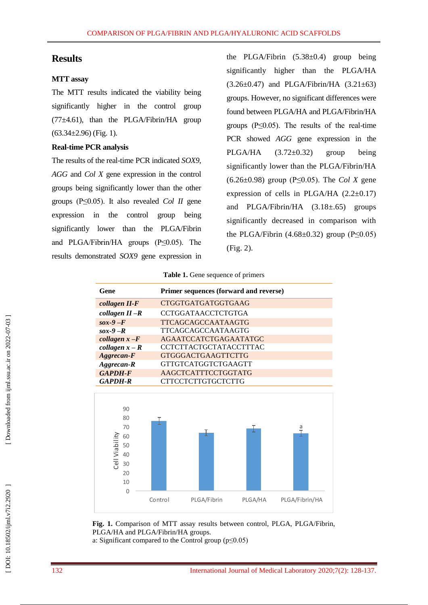## **Results**

#### **MTT assay**

The MTT results indicated the viability being significantly higher in the control group  $(77\pm4.61)$ , than the PLGA/Fibrin/HA group (63.34±2.96) (Fig. 1).

#### **Real -time PCR analysis**

The results of the real -time PCR indicated *SOX9*, *AGG* and *Col X* gene expression in the control groups being significantly lower than the other groups (P≤0.05). It also revealed *Col II* gene expression in the control group being significantly lower than the PLGA/Fibrin and PLGA/Fibrin/HA groups (P≤0.05). The results demonstrated *SOX9* gene expression in

the PLGA/Fibrin (5.38±0.4) group being significantly higher than the PLGA/HA  $(3.26\pm0.47)$  and PLGA/Fibrin/HA  $(3.21\pm63)$ groups. However, no significant differences were found between PLGA/HA and PLGA/Fibrin/HA groups  $(P \le 0.05)$ . The results of the real-time PCR showed *AGG* gene expression in the PLGA/HA (3.72±0.32) group being significantly lower than the PLGA/Fibrin/HA (6.26±0.98) group (P≤0.05). The *Col X* gene expression of cells in PLGA/HA  $(2.2\pm0.17)$ and PLGA/Fibrin/HA (3.18±.65) groups significantly decreased in comparison with the PLGA/Fibrin  $(4.68\pm0.32)$  group  $(P \le 0.05)$ (Fig. 2).

**Table 1.** Gene sequence of primers

| Gene              | Primer sequences (forward and reverse) |
|-------------------|----------------------------------------|
| collagen II-F     | CTGGTGATGATGGTGAAG                     |
| collagen $II - R$ | <b>CCTGGATAACCTCTGTGA</b>              |
| $s(x-9)$ -F       | <b>TTCAGCAGCCAATAAGTG</b>              |
| $s(x-9-R)$        | <b>TTCAGCAGCCAATAAGTG</b>              |
| collagen $x - F$  | <b>AGAATCCATCTGAGAATATGC</b>           |
| collagen $x - R$  | <b>CCTCTTACTGCTATACCTTTAC</b>          |
| Aggrecan-F        | <b>GTGGGACTGAAGTTCTTG</b>              |
| Aggrecan-R        | <b>GTTGTCATGGTCTGAAGTT</b>             |
| <b>GAPDH-F</b>    | AAGCTCATTTCCTGGTATG                    |
| $GAPDH-R$         | <b>CTTCCTCTTGTGCTCTTG</b>              |
|                   |                                        |



**Fig . 1.** Comparison of MTT assay results between control, PLGA, PLGA/Fibrin, PLGA/HA and PLGA/Fibrin/HA groups. a: Significant compared to the Control group (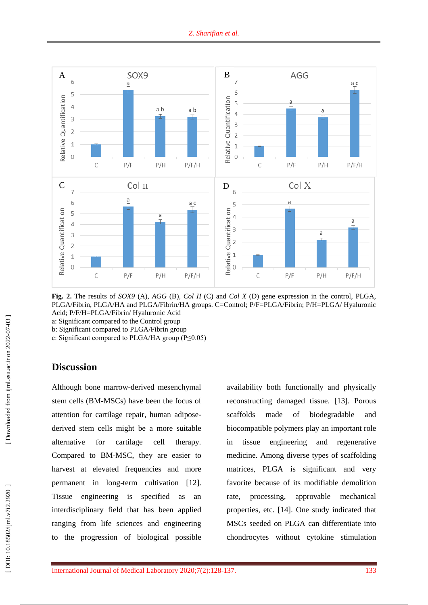

**Fig . 2.** The results of *SOX9* (A), *AGG* (B), *Col II* (C) and *Col X* (D) gene expression in the control, PLGA, PLGA/Fibrin, PLGA/HA and PLGA/Fibrin/HA groups. C=Control; P/F=PLGA/Fibrin; P/H=PLGA/ Hyaluronic Acid; P/F/H=PLGA/Fibrin/ Hyaluronic Acid

a: Significant compared to the Control group

b: Significant compared to PLGA/Fibrin group

c: Significant compared to PLGA/HA group (P≤0.05)

# **Discussion**

Although bone marrow -derived mesenchymal stem cells (BM -MSCs) have been the focus of attention for cartilage repair, human adipose derived stem cells might be a more suitable alternative for cartilage cell therapy. Compared to BM -MSC, they are easier to harvest at elevated frequencies and more permanent in long-term cultivation [12]. Tissue engineering is specified as an interdisciplinary field that has been applied ranging from life sciences and engineering to the progression of biological possible

availability both functionally and physically reconstructing damaged tissue. [13 ]. Porous scaffolds made of biodegradable and biocompatible polymers play an important role in tissue engineering and regenerative medicine. Among diverse types of scaffolding matrices, PLGA is significant and very favorite because of its modifiable demolition rate, processing, approvable mechanical properties, etc . [14 ]. One study indicated that MSCs seeded on PLGA can differentiate into chondrocytes without cytokine stimulation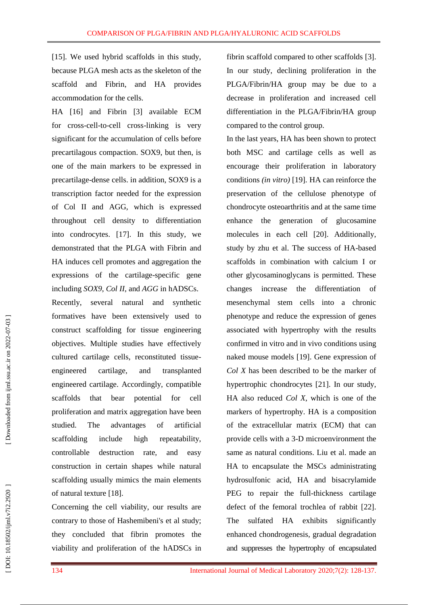[15 ]. We used hybrid scaffolds in this study, because PLGA mesh acts as the skeleton of the scaffold and Fibrin , and HA provide s accommodation for the cells.

HA [16 ] and Fibrin [ 3 ] available ECM for cross-cell-to-cell cross-linking is very significant for the accumulation of cells before precartilagous compaction. SOX9, but then, is one of the main markers to be expressed in precartilage -dense cells. in addition, SOX9 is a transcription factor needed for the expression of Col II and AGG, which is expressed throughout cell density to differentiation into condrocytes. [17 ]. In this study, we demonstrated that the PLGA with Fibrin and HA induces cell promotes and aggregation the expressions of the cartilage -specific gene including *SOX9*, *Col II*, and *AGG* in hADSCs. Recently, several natural and synthetic formatives have been extensively used to construct scaffolding for tissue engineering objectives. Multiple studies have effectively cultured cartilage cells, reconstituted tissue engineered cartilage, and transplanted engineered cartilage. Accordingly, compatible scaffolds that bear potential for cell proliferation and matrix aggregation have been studied. The advantages of artificial scaffolding include high repeatability, controllable destruction rate, and easy construction in certain shapes while natural scaffolding usually mimics the main elements of natural texture [18 ] .

Concerning the cell viability, our results are contrary to those of Hashemibeni's et al study; they concluded that fibrin promotes the viability and proliferation of the hADSCs in fibrin scaffold compared to other scaffolds [ 3 ]. In our study, declining proliferation in the PLGA/Fibrin/HA group may be due to a decrease in proliferation and increased cell differentiation in the PLGA/Fibrin/HA group compared to the control group.

In the last years, HA has been shown to protect both MSC and cartilage cells as well as encourage their proliferation in laboratory conditions *(in vitro)* [19]. HA can reinforce the preservation of the cellulose phenotype of chondrocyte osteoarthritis and at the same time enhance the generation of glucosamine molecules in each cell [20 ]. Additionally, study by zhu et al. The success of HA -based scaffolds in combination with calcium I or other glycosaminoglycans is permitted. These changes increase the differentiation of mesenchymal stem cells into a chronic phenotype and reduce the expression of genes associated with hypertrophy with the results confirmed in vitro and in vivo conditions using naked mouse models [19 ]. Gene expression of *Col X* has been described to be the marker of hypertrophic chondrocytes [21 ]. In our study, HA also reduced *Col X*, which is one of the markers of hypertrophy. HA is a composition of the extracellular matrix (ECM) that can provide cells with a 3 -D microenvironment the same as natural conditions. Liu et al. made an HA to encapsulate the MSCs administrating hydrosulfonic acid, HA and bisacrylamide PEG to repair the full-thickness cartilage defect of the femoral trochlea of rabbit [22 ]. The sulfated HA exhibits significantly enhanced chondrogenesis, gradual degradation and suppresses the hypertrophy of encapsulated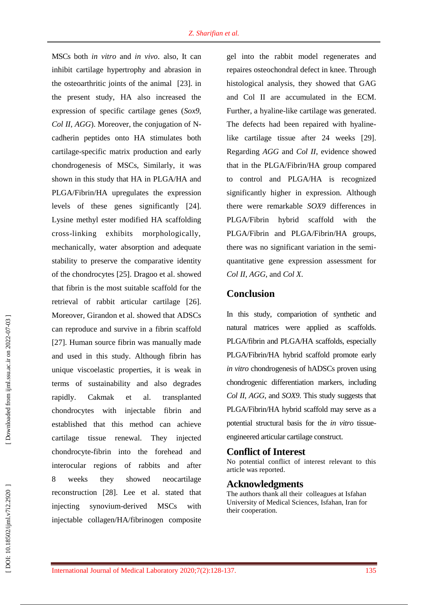MSCs both *in vitro* and *in vivo* . also, It can inhibit cartilage hypertrophy and abrasion in the osteoarthritic joints of the animal [23 ]. in the present study, HA also increased the expression of specific cartilage genes (*Sox9* , *Col II*, *AGG*). Moreover, the conjugation of N cadherin peptides onto HA stimulates both cartilage -specific matrix production and early chondrogenesis of MSCs, Similarly, it was shown in this study that HA in PLGA/HA and PLGA/Fibrin/HA upregulates the expression levels of these genes significantly [24 ]. Lysine methyl ester modified HA scaffolding cross -linking exhibits morphologically, mechanically, water absorption and adequate stability to preserve the comparative identity of the chondrocytes [25 ]. Dragoo et al. showed that fibrin is the most suitable scaffold for the retrieval of rabbit articular cartilage [26 ]. Moreover, Girandon et al. showed that ADSCs can reproduce and survive in a fibrin scaffold [27]. Human source fibrin was manually made and used in this study. Although fibrin has unique viscoelastic properties, it is weak in terms of sustainability and also degrades rapidly. Cakmak et al. transplanted chondrocytes with injectable fibrin and established that this method can achieve cartilage tissue renewal. They injected chondrocyte -fibrin into the forehead and interocular regions of rabbits and after 8 weeks they showed neocartilage reconstruction [28 ]. Lee et al. stated that injecting synovium -derived MSCs with injectable collagen/HA/fibrinogen composite

gel into the rabbit model regenerates and repaires osteochondral defect in knee. Through histological analysis, they showed that GAG and Col II are accumulated in the ECM. Further, a hyaline -like cartilage was generated. The defects had been repaired with hyalinelike cartilage tissue after 24 weeks [29 ]. Regarding *AGG* and *Col II*, evidence showed that in the PLGA/Fibrin/HA group compared to control and PLGA/HA is recognized significantly higher in expression. Although there were remarkable *SOX9* differences in PLGA/Fibrin hybrid scaffold with the PLGA/Fibrin and PLGA/Fibrin/HA groups, there was no significant variation in the semi quantitative gene expression assessment for *Col II*, *AGG*, and *Col X* .

### **Conclusion**

In this study, compariotion of synthetic and natural matrices were applied as scaffolds. PLGA/fibrin and PLGA/HA scaffolds, especially PLGA/Fibrin/HA hybrid scaffold promote early *in vitro* chondrogenesis of hADSCs proven using chondrogenic differentiation markers, including *Col II*, *AGG*, and *SOX9*. This study suggests that PLGA/Fibrin/HA hybrid scaffold may serve as a potential structural basis for the *in vitro* tissue engineered articular cartilage construct.

### **Conflict of Interest**

No potential conflict of interest relevant to this article was reported .

### **Acknowledgments**

The authors thank all their colleagues at Isfahan University of Medical Sciences, Isfahan, Iran for their cooperation.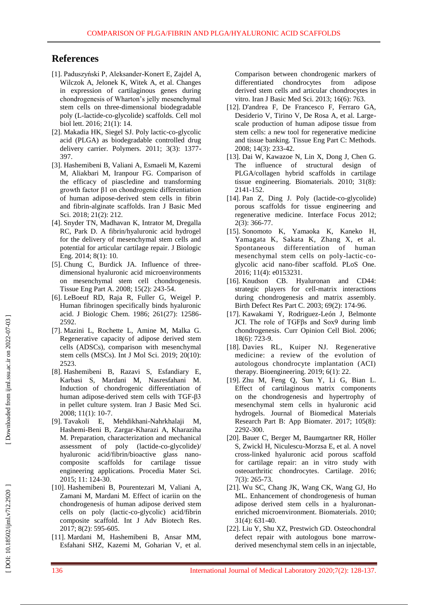# **Reference s**

- [ 1]. Paduszyński P, Aleksander -Konert E, Zajdel A, Wilczok A, Jelonek K, Witek A, et al. Changes in expression of cartilaginous genes during chondrogenesis of Wharton's jelly mesenchymal stem cells on three -dimensional biodegradable poly (L -lactide -co -glycolide) scaffolds. Cell mol biol lett. 2016; 21(1): 14.
- [ 2]. Makadia HK, Siegel SJ. Poly lactic -co -glycolic acid (PLGA) as biodegradable controlled drug delivery carrier. Polymers. 2011; 3(3): 1377 - 397.
- [ 3]. Hashemibeni B, Valiani A, Esmaeli M, Kazemi M, Aliakbari M, I ranpour FG. Comparison of the efficacy of piascledine and transforming growth factor β1 on chondrogenic differentiation of human adipose -derived stem cells in fibrin and fibrin -alginate scaffolds. Iran J Basic Med Sci. 2018; 21(2): 212.
- [ 4]. Snyder TN, Madhavan K, Intrator M, Dregalla RC, Park D. A fibrin/hyaluronic acid hydrogel for the delivery of mesenchymal stem cells and potential for articular cartilage repair. J Biologic Eng. 2014; 8(1): 10.
- [5]. Chung C, Burdick JA. Influence of threedimensional hyaluronic acid microenvironments on mesenchymal stem cell chondrogenesis. Tissue Eng Part A. 2008; 15(2): 243 -54.
- [ 6]. LeBoeuf RD, Raja R, Fuller G, Weigel P. Human fibrinogen specifically binds hyaluronic acid. J Biologic Chem. 1986; 261(27): 12586 - 2592.
- [ 7]. Mazini L, Rochette L, Amine M, Malka G. Regenerative capacity of adipose derived stem cells (ADSCs), comparison with mesenchymal stem cells (MSCs). Int J Mol Sci. 2019; 20(10): 2523.
- [ 8]. Hashemibeni B, Razavi S, Esfandiary E, Karbasi S, Mardani M, Nasresfahani M. Induction of chondrogenic differentiation of human adipose -derived stem cells with TGF -β3 in pellet culture system. Iran J Basic Med Sci. 2008; 11(1): 10 -7.
- [ 9]. Tavakoli E, Mehdikhani -Nahrkhalaji M, Hashemi -Beni B, Zargar -Kharazi A, Kharaziha M. Preparation, characterization and mechanical assessment of poly (lactide -co -glycolide)/ hyaluronic acid/fibrin/bioactive glass nano composite scaffolds for cartilage tissue engineering applications. Procedia Mater Sci. 2015; 11: 124 -30.
- [10]. Hashemibeni B, Pourentezari M, Valiani A, Zamani M, Mardani M. Effect of icariin on the chondrogenesis of human adipose derived stem cells on poly (lactic -co -glycolic) acid/fibrin composite scaffold. Int J Adv Biotech Res. 2017; 8(2): 595 -605.
- [11]. Mardani M, Hashemibeni B, Ansar MM, Esfahani SHZ, Kazemi M, Goharian V, et al.

Comparison between chondrogenic markers of differentiated chondrocytes from adipose derived stem cells and articular chondrocytes in vitro. Iran J Basic Med Sci. 2013; 16(6): 763.

- [12]. D'andrea F, De Francesco F, Ferraro GA, Desiderio V, Tirino V, De Rosa A, et al. Large scale production of human adipose tissue from stem cells: a new tool for regenerative medicine and tissue banking. Tissue Eng Part C: Methods. 2008; 14(3): 233 -42.
- [13]. Dai W, Kawazoe N, Lin X, Dong J, Chen G. The influence of structural design of PLGA/collagen hybrid scaffolds in cartilage tissue engineering. Biomaterials. 2010; 31(8): 2141 - 152.
- [14]. Pan Z, Ding J. Poly (lactide -co -glycolide) porous scaffolds for tissue engineering and regenerative medicine. Interface Focu s 2012; 2(3): 366 -77.
- [15]. Sonomoto K, Yamaoka K, Kaneko H, Yamagata K, Sakata K, Zhang X, et al. Spontaneous differentiation of human mesenchymal stem cells on poly -lactic -co glycolic acid nano -fiber scaffold. PLoS One. 2016; 11(4): e0153231.
- [16]. Knudson CB. Hyaluronan and CD44: strategic players for cell -matrix interactions during chondrogenesis and matrix assembly. Birth Defect Res Part C. 2003; 69(2): 174 -96.
- [17]. Kawakami Y, Rodriguez -León J, Belmonte JCI. The role of TGFβs and Sox9 during limb chondrogenesis. Curr Opinion Cell Biol. 2006; 18(6): 723 -9.
- [18]. Davies RL, Kuiper NJ. Regenerative medicine: a review of the evolution of autologous chondrocyte implantation (ACI) therapy. Bioengineering. 2019; 6(1): 22.
- [19]. Zhu M, Feng Q, Sun Y, Li G, Bian L. Effect of cartilaginous matrix components on the chondrogenesis and hypertrophy of mesenchymal stem cells in hyaluronic acid hydrogels. Journal of Biomedical Materials Research Part B: App Biomater. 2017; 105(8): 2292 -300.
- [20]. Bauer C, Berger M, Baumgartner RR, Höller S, Zwickl H, Niculescu -Morzsa E, et al. A novel cross -linked hyaluronic acid porous scaffold for cartilage repair: an in vitro study with osteoarthritic chondrocytes. Cartilage. 2016; 7(3): 265 -73.
- [21]. Wu SC, Chang JK, Wang CK, Wang GJ, Ho ML. Enhancement of chondrogenesis of human adipose derived stem cells in a hyaluronan enriched microenvironment. Biomaterials. 2010; 31(4): 631 -40.
- [22]. Liu Y, Shu XZ, Prestwich GD. Osteochondral defect repair with autologous bone marrowderived mesenchymal stem cells in an injectable,